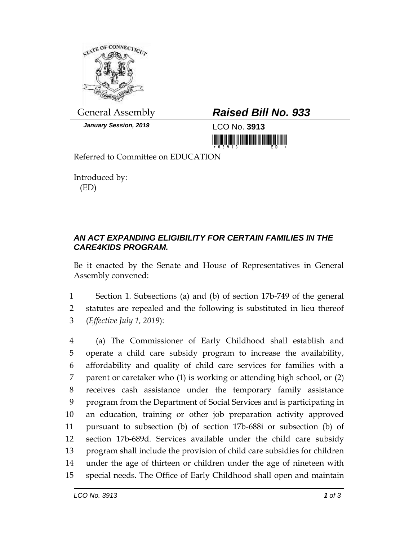

*January Session, 2019* LCO No. **3913**

## General Assembly *Raised Bill No. 933*

<u> Harris Barat (Barat Barat Barat Barat Barat Barat Barat Barat Barat Barat Barat Barat Barat Barat Barat Barat Barat Barat Barat Barat Barat Barat Barat Barat Barat Barat Barat Barat Barat Barat Barat Barat Barat Barat Ba</u>

Referred to Committee on EDUCATION

Introduced by: (ED)

## *AN ACT EXPANDING ELIGIBILITY FOR CERTAIN FAMILIES IN THE CARE4KIDS PROGRAM.*

Be it enacted by the Senate and House of Representatives in General Assembly convened:

1 Section 1. Subsections (a) and (b) of section 17b-749 of the general 2 statutes are repealed and the following is substituted in lieu thereof 3 (*Effective July 1, 2019*):

 (a) The Commissioner of Early Childhood shall establish and operate a child care subsidy program to increase the availability, affordability and quality of child care services for families with a parent or caretaker who (1) is working or attending high school, or (2) receives cash assistance under the temporary family assistance program from the Department of Social Services and is participating in an education, training or other job preparation activity approved pursuant to subsection (b) of section 17b-688i or subsection (b) of section 17b-689d. Services available under the child care subsidy program shall include the provision of child care subsidies for children under the age of thirteen or children under the age of nineteen with special needs. The Office of Early Childhood shall open and maintain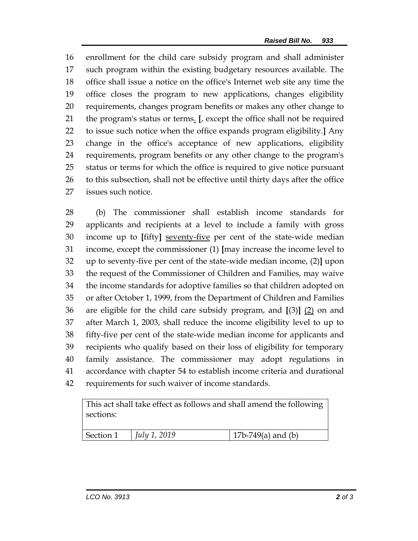enrollment for the child care subsidy program and shall administer such program within the existing budgetary resources available. The office shall issue a notice on the office's Internet web site any time the office closes the program to new applications, changes eligibility requirements, changes program benefits or makes any other change to the program's status or terms. **[**, except the office shall not be required to issue such notice when the office expands program eligibility.**]** Any change in the office's acceptance of new applications, eligibility requirements, program benefits or any other change to the program's status or terms for which the office is required to give notice pursuant to this subsection, shall not be effective until thirty days after the office issues such notice.

 (b) The commissioner shall establish income standards for applicants and recipients at a level to include a family with gross income up to **[**fifty**]** seventy-five per cent of the state-wide median income, except the commissioner (1) **[**may increase the income level to up to seventy-five per cent of the state-wide median income, (2)**]** upon the request of the Commissioner of Children and Families, may waive the income standards for adoptive families so that children adopted on or after October 1, 1999, from the Department of Children and Families are eligible for the child care subsidy program, and **[**(3)**]** (2) on and after March 1, 2003, shall reduce the income eligibility level to up to fifty-five per cent of the state-wide median income for applicants and recipients who qualify based on their loss of eligibility for temporary family assistance. The commissioner may adopt regulations in accordance with chapter 54 to establish income criteria and durational requirements for such waiver of income standards.

This act shall take effect as follows and shall amend the following sections:

| Section 1 | $\int$ <i>July 1, 2019</i> | 17b-749(a) and (b) |
|-----------|----------------------------|--------------------|